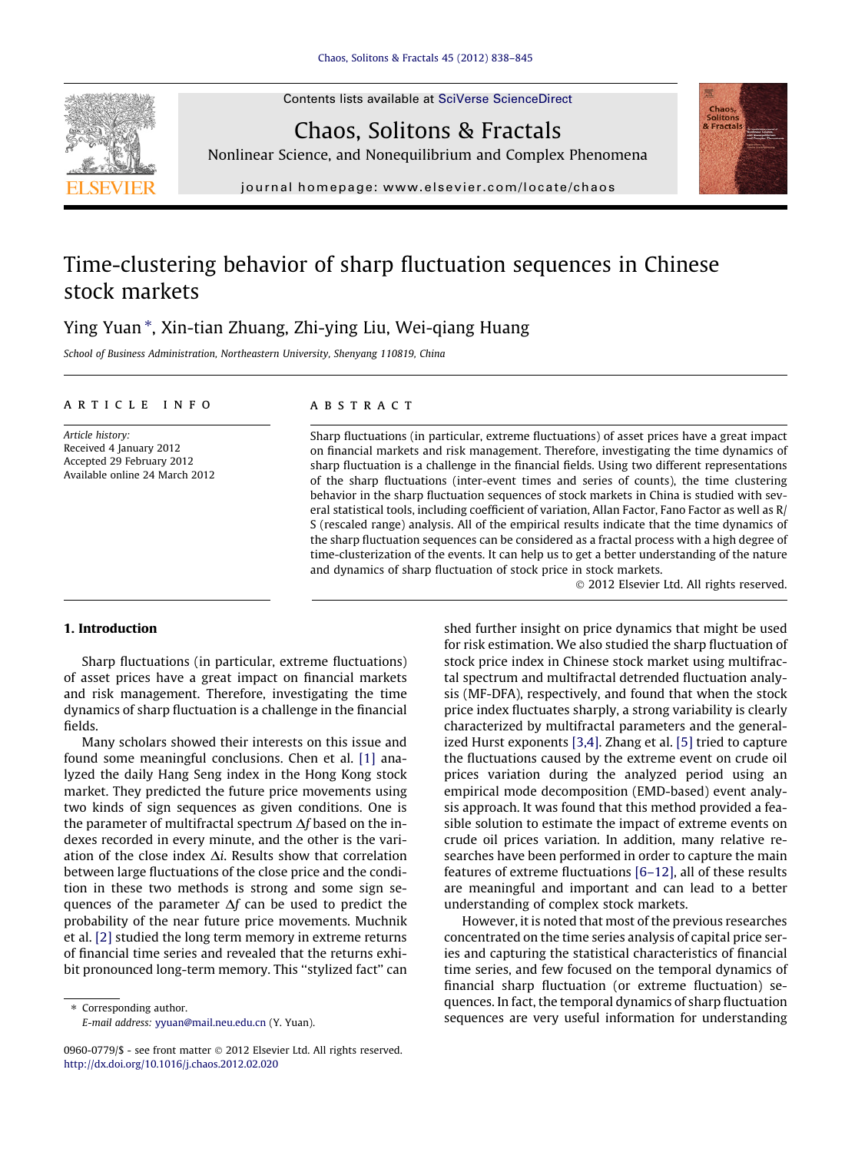Contents lists available at [SciVerse ScienceDirect](http://www.sciencedirect.com/science/journal/09600779)



Chaos, Solitons & Fractals

Nonlinear Science, and Nonequilibrium and Complex Phenomena



journal homepage: [www.elsevier.com/locate/chaos](http://www.elsevier.com/locate/chaos)

## Time-clustering behavior of sharp fluctuation sequences in Chinese stock markets

### Ying Yuan \*, Xin-tian Zhuang, Zhi-ying Liu, Wei-qiang Huang

School of Business Administration, Northeastern University, Shenyang 110819, China

#### article info

Article history: Received 4 January 2012 Accepted 29 February 2012 Available online 24 March 2012

#### **ABSTRACT**

Sharp fluctuations (in particular, extreme fluctuations) of asset prices have a great impact on financial markets and risk management. Therefore, investigating the time dynamics of sharp fluctuation is a challenge in the financial fields. Using two different representations of the sharp fluctuations (inter-event times and series of counts), the time clustering behavior in the sharp fluctuation sequences of stock markets in China is studied with several statistical tools, including coefficient of variation, Allan Factor, Fano Factor as well as R/ S (rescaled range) analysis. All of the empirical results indicate that the time dynamics of the sharp fluctuation sequences can be considered as a fractal process with a high degree of time-clusterization of the events. It can help us to get a better understanding of the nature and dynamics of sharp fluctuation of stock price in stock markets.

- 2012 Elsevier Ltd. All rights reserved.

#### 1. Introduction

Sharp fluctuations (in particular, extreme fluctuations) of asset prices have a great impact on financial markets and risk management. Therefore, investigating the time dynamics of sharp fluctuation is a challenge in the financial fields.

Many scholars showed their interests on this issue and found some meaningful conclusions. Chen et al. [\[1\]](#page--1-0) analyzed the daily Hang Seng index in the Hong Kong stock market. They predicted the future price movements using two kinds of sign sequences as given conditions. One is the parameter of multifractal spectrum  $\Delta f$  based on the indexes recorded in every minute, and the other is the variation of the close index  $\Delta i$ . Results show that correlation between large fluctuations of the close price and the condition in these two methods is strong and some sign sequences of the parameter  $\Delta f$  can be used to predict the probability of the near future price movements. Muchnik et al. [\[2\]](#page--1-0) studied the long term memory in extreme returns of financial time series and revealed that the returns exhibit pronounced long-term memory. This ''stylized fact'' can

⇑ Corresponding author. E-mail address: [yyuan@mail.neu.edu.cn](mailto:yyuan@mail.neu.edu.cn) (Y. Yuan).

shed further insight on price dynamics that might be used for risk estimation. We also studied the sharp fluctuation of stock price index in Chinese stock market using multifractal spectrum and multifractal detrended fluctuation analysis (MF-DFA), respectively, and found that when the stock price index fluctuates sharply, a strong variability is clearly characterized by multifractal parameters and the generalized Hurst exponents [\[3,4\].](#page--1-0) Zhang et al. [\[5\]](#page--1-0) tried to capture the fluctuations caused by the extreme event on crude oil prices variation during the analyzed period using an empirical mode decomposition (EMD-based) event analysis approach. It was found that this method provided a feasible solution to estimate the impact of extreme events on crude oil prices variation. In addition, many relative researches have been performed in order to capture the main features of extreme fluctuations [\[6–12\]](#page--1-0), all of these results are meaningful and important and can lead to a better understanding of complex stock markets.

However, it is noted that most of the previous researches concentrated on the time series analysis of capital price series and capturing the statistical characteristics of financial time series, and few focused on the temporal dynamics of financial sharp fluctuation (or extreme fluctuation) sequences. In fact, the temporal dynamics of sharp fluctuation sequences are very useful information for understanding

<sup>0960-0779/\$ -</sup> see front matter © 2012 Elsevier Ltd. All rights reserved. <http://dx.doi.org/10.1016/j.chaos.2012.02.020>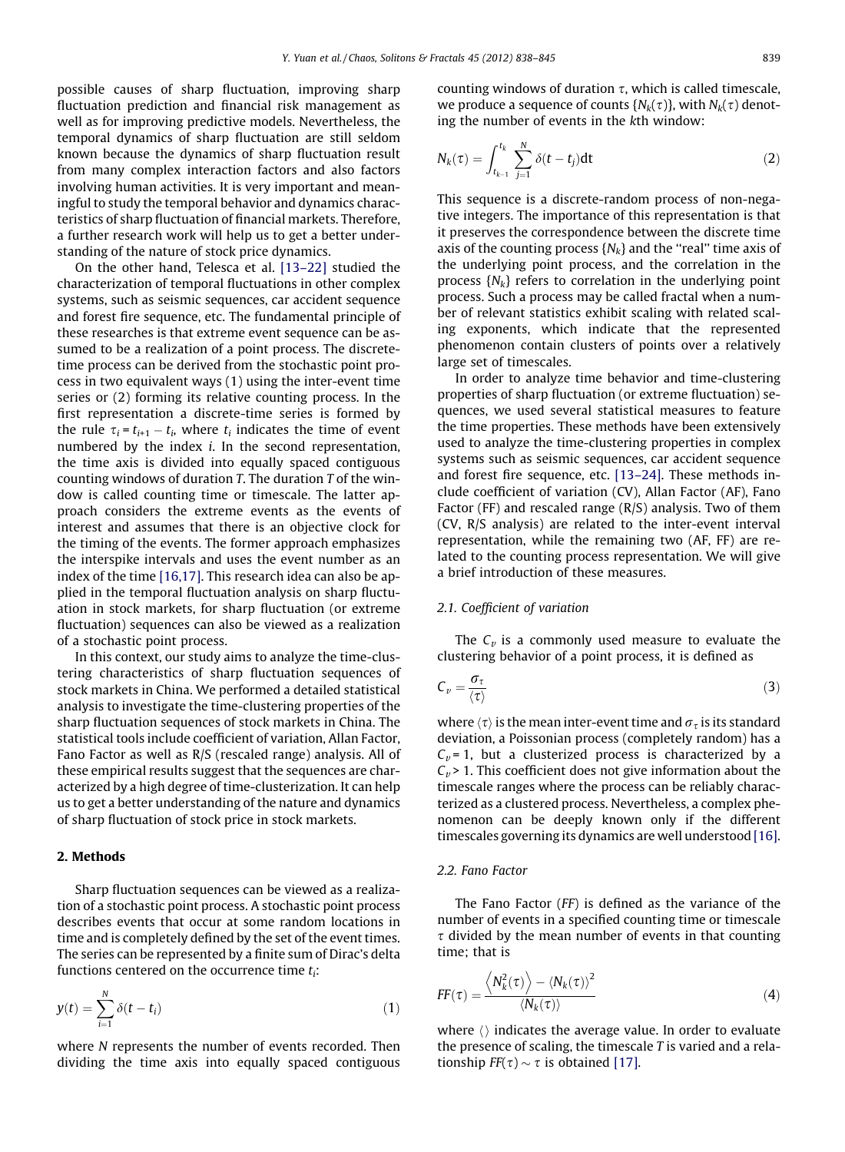possible causes of sharp fluctuation, improving sharp fluctuation prediction and financial risk management as well as for improving predictive models. Nevertheless, the temporal dynamics of sharp fluctuation are still seldom known because the dynamics of sharp fluctuation result from many complex interaction factors and also factors involving human activities. It is very important and meaningful to study the temporal behavior and dynamics characteristics of sharp fluctuation of financial markets. Therefore, a further research work will help us to get a better understanding of the nature of stock price dynamics.

On the other hand, Telesca et al. [\[13–22\]](#page--1-0) studied the characterization of temporal fluctuations in other complex systems, such as seismic sequences, car accident sequence and forest fire sequence, etc. The fundamental principle of these researches is that extreme event sequence can be assumed to be a realization of a point process. The discretetime process can be derived from the stochastic point process in two equivalent ways (1) using the inter-event time series or (2) forming its relative counting process. In the first representation a discrete-time series is formed by the rule  $\tau_i$  =  $t_{i+1}$  –  $t_i$ , where  $t_i$  indicates the time of event numbered by the index i. In the second representation, the time axis is divided into equally spaced contiguous counting windows of duration  $T$ . The duration  $T$  of the window is called counting time or timescale. The latter approach considers the extreme events as the events of interest and assumes that there is an objective clock for the timing of the events. The former approach emphasizes the interspike intervals and uses the event number as an index of the time [\[16,17\]](#page--1-0). This research idea can also be applied in the temporal fluctuation analysis on sharp fluctuation in stock markets, for sharp fluctuation (or extreme fluctuation) sequences can also be viewed as a realization of a stochastic point process.

In this context, our study aims to analyze the time-clustering characteristics of sharp fluctuation sequences of stock markets in China. We performed a detailed statistical analysis to investigate the time-clustering properties of the sharp fluctuation sequences of stock markets in China. The statistical tools include coefficient of variation, Allan Factor, Fano Factor as well as R/S (rescaled range) analysis. All of these empirical results suggest that the sequences are characterized by a high degree of time-clusterization. It can help us to get a better understanding of the nature and dynamics of sharp fluctuation of stock price in stock markets.

#### 2. Methods

Sharp fluctuation sequences can be viewed as a realization of a stochastic point process. A stochastic point process describes events that occur at some random locations in time and is completely defined by the set of the event times. The series can be represented by a finite sum of Dirac's delta functions centered on the occurrence time  $t_i$ :

$$
y(t) = \sum_{i=1}^{N} \delta(t - t_i)
$$
 (1)

where N represents the number of events recorded. Then dividing the time axis into equally spaced contiguous counting windows of duration  $\tau$ , which is called timescale. we produce a sequence of counts  $\{N_k(\tau)\}\$ , with  $N_k(\tau)$  denoting the number of events in the kth window:

$$
N_k(\tau) = \int_{t_{k-1}}^{t_k} \sum_{j=1}^N \delta(t - t_j) dt
$$
 (2)

This sequence is a discrete-random process of non-negative integers. The importance of this representation is that it preserves the correspondence between the discrete time axis of the counting process  $\{N_k\}$  and the "real" time axis of the underlying point process, and the correlation in the process  $\{N_k\}$  refers to correlation in the underlying point process. Such a process may be called fractal when a number of relevant statistics exhibit scaling with related scaling exponents, which indicate that the represented phenomenon contain clusters of points over a relatively large set of timescales.

In order to analyze time behavior and time-clustering properties of sharp fluctuation (or extreme fluctuation) sequences, we used several statistical measures to feature the time properties. These methods have been extensively used to analyze the time-clustering properties in complex systems such as seismic sequences, car accident sequence and forest fire sequence, etc. [\[13–24\]](#page--1-0). These methods include coefficient of variation (CV), Allan Factor (AF), Fano Factor (FF) and rescaled range (R/S) analysis. Two of them (CV, R/S analysis) are related to the inter-event interval representation, while the remaining two (AF, FF) are related to the counting process representation. We will give a brief introduction of these measures.

#### 2.1. Coefficient of variation

The  $C_v$  is a commonly used measure to evaluate the clustering behavior of a point process, it is defined as

$$
C_v = \frac{\sigma_\tau}{\langle \tau \rangle} \tag{3}
$$

where  $\langle \tau \rangle$  is the mean inter-event time and  $\sigma_{\tau}$  is its standard deviation, a Poissonian process (completely random) has a  $C_v$  = 1, but a clusterized process is characterized by a  $C_v$  > 1. This coefficient does not give information about the timescale ranges where the process can be reliably characterized as a clustered process. Nevertheless, a complex phenomenon can be deeply known only if the different timescales governing its dynamics are well understood [\[16\]](#page--1-0).

#### 2.2. Fano Factor

The Fano Factor (FF) is defined as the variance of the number of events in a specified counting time or timescale  $\tau$  divided by the mean number of events in that counting time; that is

$$
FF(\tau) = \frac{\langle N_k^2(\tau) \rangle - \langle N_k(\tau) \rangle^2}{\langle N_k(\tau) \rangle} \tag{4}
$$

where  $\langle \rangle$  indicates the average value. In order to evaluate the presence of scaling, the timescale  $T$  is varied and a relationship  $FF(\tau) \sim \tau$  is obtained [\[17\]](#page--1-0).